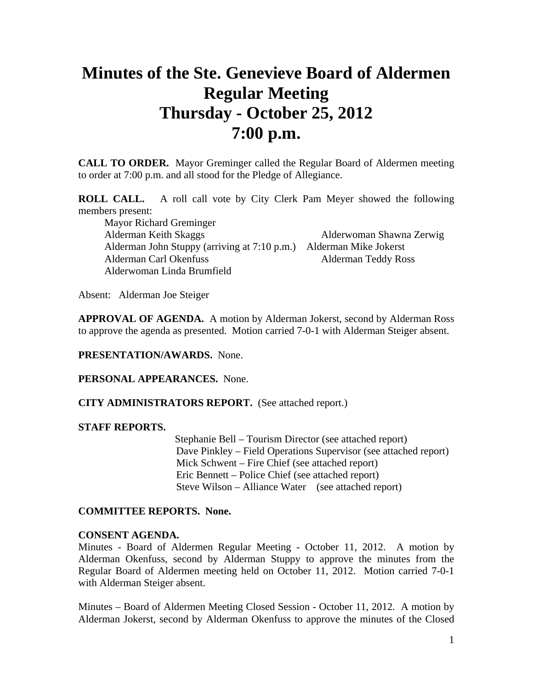# **Minutes of the Ste. Genevieve Board of Aldermen Regular Meeting Thursday - October 25, 2012 7:00 p.m.**

**CALL TO ORDER.** Mayor Greminger called the Regular Board of Aldermen meeting to order at 7:00 p.m. and all stood for the Pledge of Allegiance.

**ROLL CALL.** A roll call vote by City Clerk Pam Meyer showed the following members present:

 Mayor Richard Greminger Alderman Keith Skaggs Alderwoman Shawna Zerwig Alderman John Stuppy (arriving at 7:10 p.m.) Alderman Mike Jokerst Alderman Carl Okenfuss Alderman Teddy Ross Alderwoman Linda Brumfield

Absent: Alderman Joe Steiger

**APPROVAL OF AGENDA.** A motion by Alderman Jokerst, second by Alderman Ross to approve the agenda as presented. Motion carried 7-0-1 with Alderman Steiger absent.

### **PRESENTATION/AWARDS.** None.

**PERSONAL APPEARANCES.** None.

#### **CITY ADMINISTRATORS REPORT.** (See attached report.)

#### **STAFF REPORTS.**

 Stephanie Bell – Tourism Director (see attached report) Dave Pinkley – Field Operations Supervisor (see attached report) Mick Schwent – Fire Chief (see attached report) Eric Bennett – Police Chief (see attached report) Steve Wilson – Alliance Water (see attached report)

#### **COMMITTEE REPORTS. None.**

#### **CONSENT AGENDA.**

Minutes - Board of Aldermen Regular Meeting - October 11, 2012. A motion by Alderman Okenfuss, second by Alderman Stuppy to approve the minutes from the Regular Board of Aldermen meeting held on October 11, 2012. Motion carried 7-0-1 with Alderman Steiger absent.

Minutes – Board of Aldermen Meeting Closed Session - October 11, 2012. A motion by Alderman Jokerst, second by Alderman Okenfuss to approve the minutes of the Closed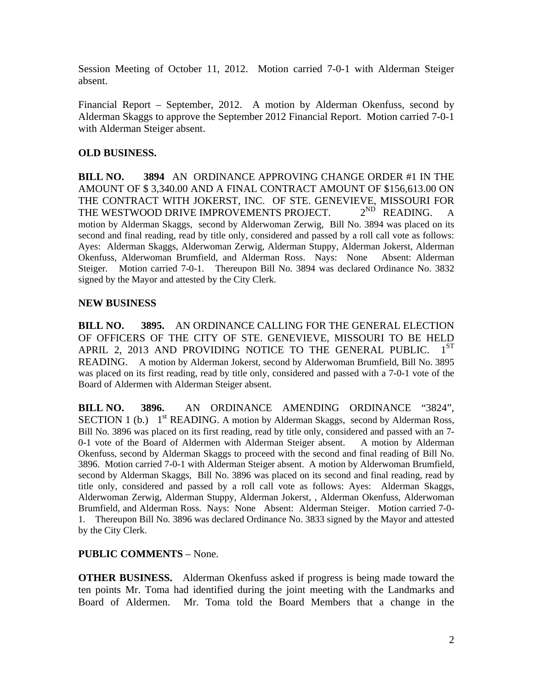Session Meeting of October 11, 2012. Motion carried 7-0-1 with Alderman Steiger absent.

Financial Report – September, 2012. A motion by Alderman Okenfuss, second by Alderman Skaggs to approve the September 2012 Financial Report. Motion carried 7-0-1 with Alderman Steiger absent.

# **OLD BUSINESS.**

**BILL NO. 3894** AN ORDINANCE APPROVING CHANGE ORDER #1 IN THE AMOUNT OF \$ 3,340.00 AND A FINAL CONTRACT AMOUNT OF \$156,613.00 ON THE CONTRACT WITH JOKERST, INC. OF STE. GENEVIEVE, MISSOURI FOR THE WESTWOOD DRIVE IMPROVEMENTS PROJECT.  $2^{ND}$  READING. A THE WESTWOOD DRIVE IMPROVEMENTS PROJECT.  $2^{ND}$  READING. A motion by Alderman Skaggs, second by Alderwoman Zerwig, Bill No. 3894 was placed on its second and final reading, read by title only, considered and passed by a roll call vote as follows: Ayes: Alderman Skaggs, Alderwoman Zerwig, Alderman Stuppy, Alderman Jokerst, Alderman Okenfuss, Alderwoman Brumfield, and Alderman Ross. Nays: None Absent: Alderman Steiger. Motion carried 7-0-1. Thereupon Bill No. 3894 was declared Ordinance No. 3832 signed by the Mayor and attested by the City Clerk.

# **NEW BUSINESS**

**BILL NO. 3895.** AN ORDINANCE CALLING FOR THE GENERAL ELECTION OF OFFICERS OF THE CITY OF STE. GENEVIEVE, MISSOURI TO BE HELD APRIL 2, 2013 AND PROVIDING NOTICE TO THE GENERAL PUBLIC.  $1^{ST}$ READING. A motion by Alderman Jokerst, second by Alderwoman Brumfield, Bill No. 3895 was placed on its first reading, read by title only, considered and passed with a 7-0-1 vote of the Board of Aldermen with Alderman Steiger absent.

**BILL NO. 3896.** AN ORDINANCE AMENDING ORDINANCE "3824", SECTION 1 (b.)  $1<sup>st</sup> READING.$  A motion by Alderman Skaggs, second by Alderman Ross, Bill No. 3896 was placed on its first reading, read by title only, considered and passed with an 7- 0-1 vote of the Board of Aldermen with Alderman Steiger absent. A motion by Alderman Okenfuss, second by Alderman Skaggs to proceed with the second and final reading of Bill No. 3896. Motion carried 7-0-1 with Alderman Steiger absent. A motion by Alderwoman Brumfield, second by Alderman Skaggs, Bill No. 3896 was placed on its second and final reading, read by title only, considered and passed by a roll call vote as follows: Ayes: Alderman Skaggs, Alderwoman Zerwig, Alderman Stuppy, Alderman Jokerst, , Alderman Okenfuss, Alderwoman Brumfield, and Alderman Ross. Nays: None Absent: Alderman Steiger. Motion carried 7-0- 1. Thereupon Bill No. 3896 was declared Ordinance No. 3833 signed by the Mayor and attested by the City Clerk.

## **PUBLIC COMMENTS** – None.

**OTHER BUSINESS.** Alderman Okenfuss asked if progress is being made toward the ten points Mr. Toma had identified during the joint meeting with the Landmarks and Board of Aldermen. Mr. Toma told the Board Members that a change in the